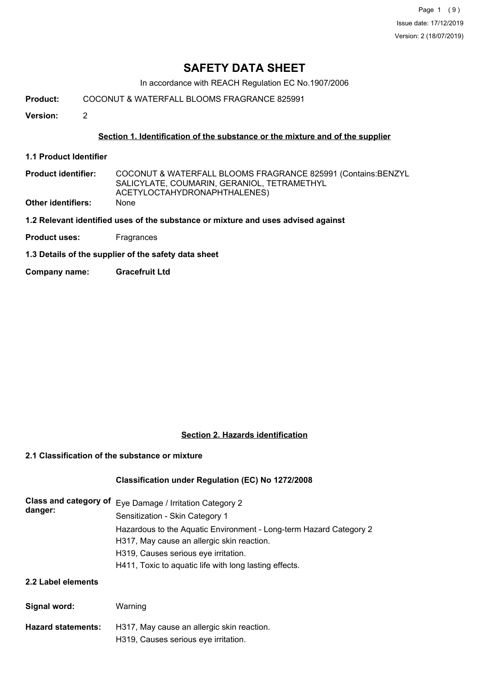Page 1 (9) Issue date: 17/12/2019 Version: 2 (18/07/2019)

# **SAFETY DATA SHEET**

In accordance with REACH Regulation EC No.1907/2006

**Product:** COCONUT & WATERFALL BLOOMS FRAGRANCE 825991

**Version:** 2

### **Section 1. Identification of the substance or the mixture and of the supplier**

- **1.1 Product Identifier**
- COCONUT & WATERFALL BLOOMS FRAGRANCE 825991 (Contains:BENZYL SALICYLATE, COUMARIN, GERANIOL, TETRAMETHYL ACETYLOCTAHYDRONAPHTHALENES) **Product identifier: Other identifiers:** None
- **1.2 Relevant identified uses of the substance or mixture and uses advised against**
- **Product uses:** Fragrances
- **1.3 Details of the supplier of the safety data sheet**
- **Company name: Gracefruit Ltd**

### **Section 2. Hazards identification**

#### **2.1 Classification of the substance or mixture**

## **Classification under Regulation (EC) No 1272/2008**

| Class and category of<br>danger: | Eye Damage / Irritation Category 2<br>Sensitization - Skin Category 1                                            |  |  |  |
|----------------------------------|------------------------------------------------------------------------------------------------------------------|--|--|--|
|                                  | Hazardous to the Aquatic Environment - Long-term Hazard Category 2<br>H317, May cause an allergic skin reaction. |  |  |  |
|                                  | H319, Causes serious eye irritation.                                                                             |  |  |  |
|                                  | H411, Toxic to aquatic life with long lasting effects.                                                           |  |  |  |
| 2.2 Label elements               |                                                                                                                  |  |  |  |
| Signal word:                     | Warning                                                                                                          |  |  |  |
| <b>Hazard statements:</b>        | H317, May cause an allergic skin reaction.                                                                       |  |  |  |

H319, Causes serious eye irritation.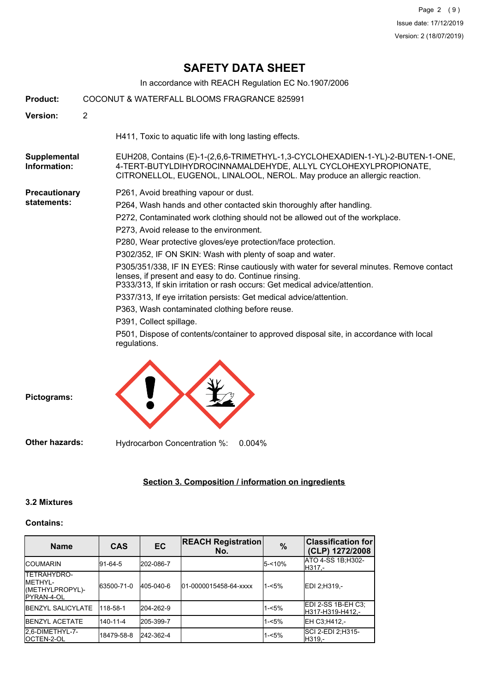# **SAFETY DATA SHEET**

In accordance with REACH Regulation EC No.1907/2006

| <b>Product:</b>              | COCONUT & WATERFALL BLOOMS FRAGRANCE 825991 |                                                                                                                                                                                                                                 |  |  |
|------------------------------|---------------------------------------------|---------------------------------------------------------------------------------------------------------------------------------------------------------------------------------------------------------------------------------|--|--|
| Version:                     | $\overline{2}$                              |                                                                                                                                                                                                                                 |  |  |
|                              |                                             | H411, Toxic to aquatic life with long lasting effects.                                                                                                                                                                          |  |  |
| Supplemental<br>Information: |                                             | EUH208, Contains (E)-1-(2,6,6-TRIMETHYL-1,3-CYCLOHEXADIEN-1-YL)-2-BUTEN-1-ONE,<br>4-TERT-BUTYLDIHYDROCINNAMALDEHYDE, ALLYL CYCLOHEXYLPROPIONATE,<br>CITRONELLOL, EUGENOL, LINALOOL, NEROL. May produce an allergic reaction.    |  |  |
| <b>Precautionary</b>         |                                             | P261, Avoid breathing vapour or dust.                                                                                                                                                                                           |  |  |
| statements:                  |                                             | P264, Wash hands and other contacted skin thoroughly after handling.                                                                                                                                                            |  |  |
|                              |                                             | P272, Contaminated work clothing should not be allowed out of the workplace.                                                                                                                                                    |  |  |
|                              |                                             | P273, Avoid release to the environment.                                                                                                                                                                                         |  |  |
|                              |                                             | P280, Wear protective gloves/eye protection/face protection.                                                                                                                                                                    |  |  |
|                              |                                             | P302/352, IF ON SKIN: Wash with plenty of soap and water.                                                                                                                                                                       |  |  |
|                              |                                             | P305/351/338, IF IN EYES: Rinse cautiously with water for several minutes. Remove contact<br>lenses, if present and easy to do. Continue rinsing.<br>P333/313, If skin irritation or rash occurs: Get medical advice/attention. |  |  |
|                              |                                             | P337/313, If eye irritation persists: Get medical advice/attention.                                                                                                                                                             |  |  |
|                              |                                             | P363, Wash contaminated clothing before reuse.                                                                                                                                                                                  |  |  |
|                              |                                             | P391, Collect spillage.                                                                                                                                                                                                         |  |  |
|                              |                                             | P501, Dispose of contents/container to approved disposal site, in accordance with local<br>regulations.                                                                                                                         |  |  |
| Pictograms:                  |                                             |                                                                                                                                                                                                                                 |  |  |

**Other hazards:** Hydrocarbon Concentration %: 0.004%

# **Section 3. Composition / information on ingredients**

#### **3.2 Mixtures**

#### **Contains:**

| <b>Name</b>                                                              | <b>CAS</b> | EC        | <b>REACH Registration</b><br>No. | $\frac{9}{6}$ | <b>Classification for</b><br>(CLP) 1272/2008 |
|--------------------------------------------------------------------------|------------|-----------|----------------------------------|---------------|----------------------------------------------|
| <b>ICOUMARIN</b>                                                         | 91-64-5    | 202-086-7 |                                  | $5 - 10%$     | ATO 4-SS 1B; H302-<br>H317.-                 |
| ITETRAHYDRO-<br><b>IMETHYL-</b><br>(METHYLPROPYL)-<br><b>IPYRAN-4-OL</b> | 63500-71-0 | 405-040-6 | 01-0000015458-64-xxxx            | $1 - 5%$      | IEDI 2:H319.-                                |
| <b>IBENZYL SALICYLATE</b>                                                | 118-58-1   | 204-262-9 |                                  | $1 - 5%$      | EDI 2-SS 1B-EH C3;<br>H317-H319-H412,-       |
| <b>IBENZYL ACETATE</b>                                                   | 140-11-4   | 205-399-7 |                                  | $1 - 5%$      | EH C3;H412,-                                 |
| 2.6-DIMETHYL-7-<br>IOCTEN-2-OL                                           | 18479-58-8 | 242-362-4 |                                  | $1 - 5%$      | SCI 2-EDI 2:H315-<br>H319.-                  |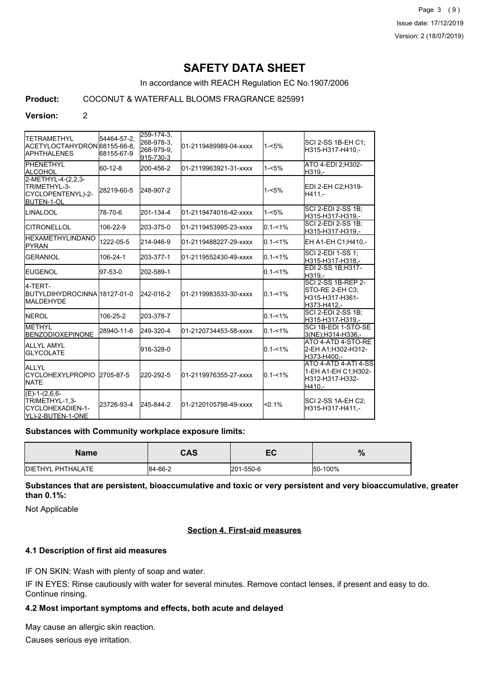Page 3 (9) Issue date: 17/12/2019 Version: 2 (18/07/2019)

# **SAFETY DATA SHEET**

In accordance with REACH Regulation EC No.1907/2006

# **Product:** COCONUT & WATERFALL BLOOMS FRAGRANCE 825991

# **Version:** 2

| <b>ITETRAMETHYL</b><br>ACETYLOCTAHYDRON 68155-66-8.<br><b>I</b> APHTHALENES  | 54464-57-2.<br>68155-67-9 | 259-174-3,<br>268-978-3,<br>268-979-9.<br>915-730-3 | 01-2119489989-04-xxxx  | $1 - 5%$    | SCI 2-SS 1B-EH C1;<br>H315-H317-H410,-                                         |
|------------------------------------------------------------------------------|---------------------------|-----------------------------------------------------|------------------------|-------------|--------------------------------------------------------------------------------|
| <b>I</b> PHENETHYL<br>IALCOHOL                                               | 60-12-8                   | 200-456-2                                           | 01-2119963921-31-xxxx  | $1 - 5%$    | ATO 4-EDI 2:H302-<br>H319.-                                                    |
| 2-METHYL-4-(2,2,3-<br>TRIMETHYL-3-<br>CYCLOPENTENYL)-2-<br><b>BUTEN-1-OL</b> | 28219-60-5                | 248-907-2                                           |                        | $1 - 5%$    | EDI 2-EH C2;H319-<br>H411.-                                                    |
| <b>LINALOOL</b>                                                              | 78-70-6                   | 201-134-4                                           | 01-2119474016-42-xxxx  | $1 - 5%$    | <b>SCI 2-EDI 2-SS 1B:</b><br>H315-H317-H319.-                                  |
| <b>CITRONELLOL</b>                                                           | 106-22-9                  | 203-375-0                                           | 01-2119453995-23-xxxx  | $0.1 - 1\%$ | SCI 2-EDI 2-SS 1B;<br>H315-H317-H319,-                                         |
| <b>HEXAMETHYLINDANO</b><br><b>PYRAN</b>                                      | 1222-05-5                 | 214-946-9                                           | 01-2119488227-29-xxxx  | $0.1 - 1\%$ | EH A1-EH C1;H410,-                                                             |
| <b>GERANIOL</b>                                                              | 106-24-1                  | 203-377-1                                           | 01-2119552430-49-xxxx  | $0.1 - 1\%$ | SCI 2-EDI 1-SS 1;<br>H315-H317-H318.-                                          |
| <b>IEUGENOL</b>                                                              | 97-53-0                   | 202-589-1                                           |                        | $0.1 - 1\%$ | EDI 2-SS 1B;H317-<br>H319.-                                                    |
| 4-TERT-<br>BUTYLDIHYDROCINNA18127-01-0<br><b>IMALDEHYDE</b>                  |                           | 242-016-2                                           | 01-2119983533-30-xxxx  | $0.1 - 1\%$ | <b>SCI 2-SS 1B-REP 2-</b><br>STO-RE 2-EH C3:<br>H315-H317-H361-<br>H373-H412,- |
| <b>INEROL</b>                                                                | 106-25-2                  | 203-378-7                                           |                        | $0.1 - 1\%$ | SCI 2-EDI 2-SS 1B;<br>H315-H317-H319,-                                         |
| <b>METHYL</b><br><b>IBENZODIOXEPINONE</b>                                    | 28940-11-6                | 249-320-4                                           | 01-2120734453-58-xxxx  | $0.1 - 1\%$ | ISCI 1B-EDI 1-STO-SE<br>3(NE); H314-H336,-                                     |
| <b>ALLYL AMYL</b><br><b>GLYCOLATE</b>                                        |                           | 916-328-0                                           |                        | $0.1 - 1\%$ | ATO 4-ATD 4-STO-RE<br>2-EH A1;H302-H312-<br>H373-H400.-                        |
| <b>ALLYL</b><br><b>ICYCLOHEXYLPROPIO</b><br><b>I</b> NATE                    | 2705-87-5                 | 220-292-5                                           | l01-2119976355-27-xxxx | $0.1 - 1\%$ | ATO 4-ATD 4-ATI 4-SS<br>1-EH A1-EH C1;H302-<br>H312-H317-H332-<br>H410.-       |
| $(E)-1-(2,6,6-$<br>TRIMETHYL-1,3-<br>ICYCLOHEXADIEN-1-<br>YL)-2-BUTEN-1-ONE  | 23726-93-4                | 245-844-2                                           | 01-2120105798-49-xxxx  | $< 0.1\%$   | SCI 2-SS 1A-EH C2;<br>H315-H317-H411.-                                         |

#### **Substances with Community workplace exposure limits:**

| <b>Name</b>               | <b>CAS</b> | cr<br>EV  | $\%$    |
|---------------------------|------------|-----------|---------|
| <b>IDIETHYL PHTHALATE</b> | 84-66-2    | 201-550-6 | 50-100% |

**Substances that are persistent, bioaccumulative and toxic or very persistent and very bioaccumulative, greater than 0.1%:**

Not Applicable

#### **Section 4. First-aid measures**

#### **4.1 Description of first aid measures**

IF ON SKIN: Wash with plenty of soap and water.

IF IN EYES: Rinse cautiously with water for several minutes. Remove contact lenses, if present and easy to do. Continue rinsing.

#### **4.2 Most important symptoms and effects, both acute and delayed**

May cause an allergic skin reaction.

Causes serious eye irritation.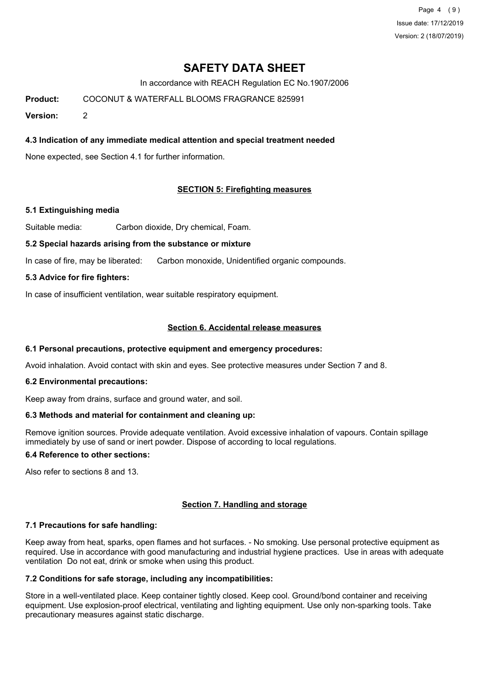Page 4 (9) Issue date: 17/12/2019 Version: 2 (18/07/2019)

# **SAFETY DATA SHEET**

In accordance with REACH Regulation EC No.1907/2006

**Product:** COCONUT & WATERFALL BLOOMS FRAGRANCE 825991

**Version:** 2

### **4.3 Indication of any immediate medical attention and special treatment needed**

None expected, see Section 4.1 for further information.

#### **SECTION 5: Firefighting measures**

#### **5.1 Extinguishing media**

Suitable media: Carbon dioxide, Dry chemical, Foam.

#### **5.2 Special hazards arising from the substance or mixture**

In case of fire, may be liberated: Carbon monoxide, Unidentified organic compounds.

#### **5.3 Advice for fire fighters:**

In case of insufficient ventilation, wear suitable respiratory equipment.

#### **Section 6. Accidental release measures**

#### **6.1 Personal precautions, protective equipment and emergency procedures:**

Avoid inhalation. Avoid contact with skin and eyes. See protective measures under Section 7 and 8.

#### **6.2 Environmental precautions:**

Keep away from drains, surface and ground water, and soil.

#### **6.3 Methods and material for containment and cleaning up:**

Remove ignition sources. Provide adequate ventilation. Avoid excessive inhalation of vapours. Contain spillage immediately by use of sand or inert powder. Dispose of according to local regulations.

#### **6.4 Reference to other sections:**

Also refer to sections 8 and 13.

#### **Section 7. Handling and storage**

#### **7.1 Precautions for safe handling:**

Keep away from heat, sparks, open flames and hot surfaces. - No smoking. Use personal protective equipment as required. Use in accordance with good manufacturing and industrial hygiene practices. Use in areas with adequate ventilation Do not eat, drink or smoke when using this product.

### **7.2 Conditions for safe storage, including any incompatibilities:**

Store in a well-ventilated place. Keep container tightly closed. Keep cool. Ground/bond container and receiving equipment. Use explosion-proof electrical, ventilating and lighting equipment. Use only non-sparking tools. Take precautionary measures against static discharge.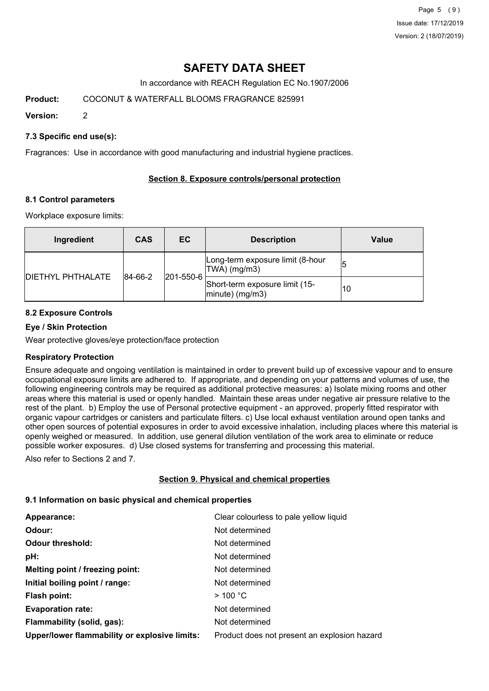Page 5 (9) Issue date: 17/12/2019 Version: 2 (18/07/2019)

# **SAFETY DATA SHEET**

In accordance with REACH Regulation EC No.1907/2006

**Product:** COCONUT & WATERFALL BLOOMS FRAGRANCE 825991

**Version:** 2

### **7.3 Specific end use(s):**

Fragrances: Use in accordance with good manufacturing and industrial hygiene practices.

### **Section 8. Exposure controls/personal protection**

#### **8.1 Control parameters**

Workplace exposure limits:

| Ingredient               | <b>CAS</b>                   | EC. | <b>Description</b>                                   | Value |
|--------------------------|------------------------------|-----|------------------------------------------------------|-------|
| <b>DIETHYL PHTHALATE</b> |                              |     | Long-term exposure limit (8-hour<br>TWA) (mg/m3)     |       |
|                          | $ 201 - 550 - 6 $<br>84-66-2 |     | Short-term exposure limit (15-<br>$ minute)$ (mg/m3) | 10    |

## **8.2 Exposure Controls**

### **Eye / Skin Protection**

Wear protective gloves/eye protection/face protection

#### **Respiratory Protection**

Ensure adequate and ongoing ventilation is maintained in order to prevent build up of excessive vapour and to ensure occupational exposure limits are adhered to. If appropriate, and depending on your patterns and volumes of use, the following engineering controls may be required as additional protective measures: a) Isolate mixing rooms and other areas where this material is used or openly handled. Maintain these areas under negative air pressure relative to the rest of the plant. b) Employ the use of Personal protective equipment - an approved, properly fitted respirator with organic vapour cartridges or canisters and particulate filters. c) Use local exhaust ventilation around open tanks and other open sources of potential exposures in order to avoid excessive inhalation, including places where this material is openly weighed or measured. In addition, use general dilution ventilation of the work area to eliminate or reduce possible worker exposures. d) Use closed systems for transferring and processing this material.

Also refer to Sections 2 and 7.

## **Section 9. Physical and chemical properties**

#### **9.1 Information on basic physical and chemical properties**

| Appearance:                                   | Clear colourless to pale yellow liquid       |
|-----------------------------------------------|----------------------------------------------|
| Odour:                                        | Not determined                               |
| <b>Odour threshold:</b>                       | Not determined                               |
| pH:                                           | Not determined                               |
| Melting point / freezing point:               | Not determined                               |
| Initial boiling point / range:                | Not determined                               |
| Flash point:                                  | $>$ 100 °C                                   |
| <b>Evaporation rate:</b>                      | Not determined                               |
| Flammability (solid, gas):                    | Not determined                               |
| Upper/lower flammability or explosive limits: | Product does not present an explosion hazard |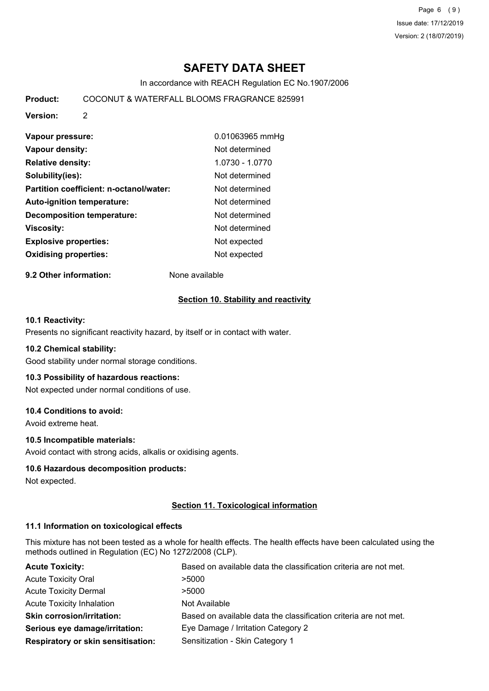Page 6 (9) Issue date: 17/12/2019 Version: 2 (18/07/2019)

# **SAFETY DATA SHEET**

In accordance with REACH Regulation EC No.1907/2006

**Product:** COCONUT & WATERFALL BLOOMS FRAGRANCE 825991

**Version:** 2

| Vapour pressure:                        | 0.01063965 mmHg |
|-----------------------------------------|-----------------|
| Vapour density:                         | Not determined  |
| <b>Relative density:</b>                | 1.0730 - 1.0770 |
| Solubility(ies):                        | Not determined  |
| Partition coefficient: n-octanol/water: | Not determined  |
| Auto-ignition temperature:              | Not determined  |
| <b>Decomposition temperature:</b>       | Not determined  |
| Viscosity:                              | Not determined  |
| <b>Explosive properties:</b>            | Not expected    |
| <b>Oxidising properties:</b>            | Not expected    |

**9.2 Other information:** None available

### **Section 10. Stability and reactivity**

#### **10.1 Reactivity:**

Presents no significant reactivity hazard, by itself or in contact with water.

#### **10.2 Chemical stability:**

Good stability under normal storage conditions.

#### **10.3 Possibility of hazardous reactions:**

Not expected under normal conditions of use.

#### **10.4 Conditions to avoid:**

Avoid extreme heat.

#### **10.5 Incompatible materials:**

Avoid contact with strong acids, alkalis or oxidising agents.

#### **10.6 Hazardous decomposition products:**

Not expected.

#### **Section 11. Toxicological information**

#### **11.1 Information on toxicological effects**

This mixture has not been tested as a whole for health effects. The health effects have been calculated using the methods outlined in Regulation (EC) No 1272/2008 (CLP).

| <b>Acute Toxicity:</b>                    | Based on available data the classification criteria are not met. |
|-------------------------------------------|------------------------------------------------------------------|
| <b>Acute Toxicity Oral</b>                | >5000                                                            |
| <b>Acute Toxicity Dermal</b>              | >5000                                                            |
| <b>Acute Toxicity Inhalation</b>          | Not Available                                                    |
| <b>Skin corrosion/irritation:</b>         | Based on available data the classification criteria are not met. |
| Serious eye damage/irritation:            | Eye Damage / Irritation Category 2                               |
| <b>Respiratory or skin sensitisation:</b> | Sensitization - Skin Category 1                                  |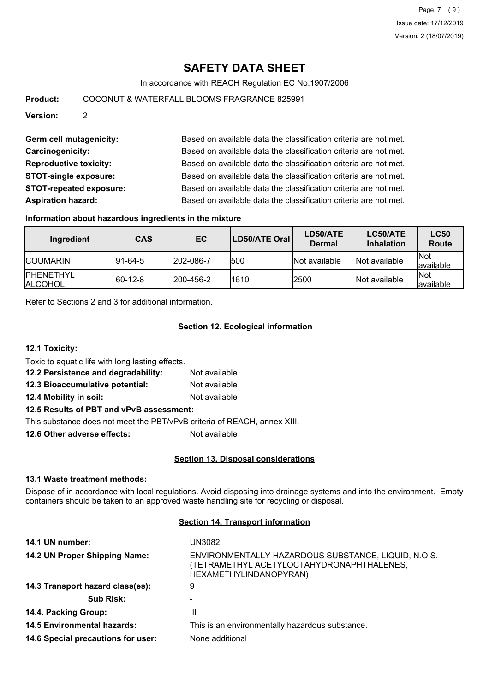# **SAFETY DATA SHEET**

In accordance with REACH Regulation EC No.1907/2006

**Product:** COCONUT & WATERFALL BLOOMS FRAGRANCE 825991

**Version:** 2

Germ cell mutagenicity: Based on available data the classification criteria are not met. **Carcinogenicity:** Based on available data the classification criteria are not met. **Reproductive toxicity:** Based on available data the classification criteria are not met. **STOT-single exposure:** Based on available data the classification criteria are not met. **STOT-repeated exposure:** Based on available data the classification criteria are not met. **Aspiration hazard:** Based on available data the classification criteria are not met.

#### **Information about hazardous ingredients in the mixture**

| Ingredient                          | <b>CAS</b>      | EC                | <b>LD50/ATE Oral</b> | LD50/ATE<br><b>Dermal</b> | LC50/ATE<br><b>Inhalation</b> | <b>LC50</b><br><b>Route</b> |
|-------------------------------------|-----------------|-------------------|----------------------|---------------------------|-------------------------------|-----------------------------|
| <b>ICOUMARIN</b>                    | $ 91 - 64 - 5 $ | 202-086-7         | 1500                 | <b>Not available</b>      | Not available                 | <b>Not</b><br>lavailable    |
| <b>IPHENETHYL</b><br><b>ALCOHOL</b> | $ 60-12-8$      | $ 200 - 456 - 2 $ | 1610                 | 2500                      | <b>Not available</b>          | <b>Not</b><br>lavailable    |

Refer to Sections 2 and 3 for additional information.

### **Section 12. Ecological information**

**12.1 Toxicity:**

Toxic to aquatic life with long lasting effects.

**12.2 Persistence and degradability:** Not available

**12.3 Bioaccumulative potential:** Not available

**12.4 Mobility in soil:** Not available

#### **12.5 Results of PBT and vPvB assessment:**

This substance does not meet the PBT/vPvB criteria of REACH, annex XIII.

**12.6 Other adverse effects:** Not available

#### **Section 13. Disposal considerations**

#### **13.1 Waste treatment methods:**

Dispose of in accordance with local regulations. Avoid disposing into drainage systems and into the environment. Empty containers should be taken to an approved waste handling site for recycling or disposal.

### **Section 14. Transport information**

| UN3082                                                                                                                     |
|----------------------------------------------------------------------------------------------------------------------------|
| ENVIRONMENTALLY HAZARDOUS SUBSTANCE, LIQUID, N.O.S.<br>(TETRAMETHYL ACETYLOCTAHYDRONAPHTHALENES,<br>HEXAMETHYLINDANOPYRAN) |
| 9                                                                                                                          |
|                                                                                                                            |
| Ш                                                                                                                          |
| This is an environmentally hazardous substance.                                                                            |
| None additional                                                                                                            |
|                                                                                                                            |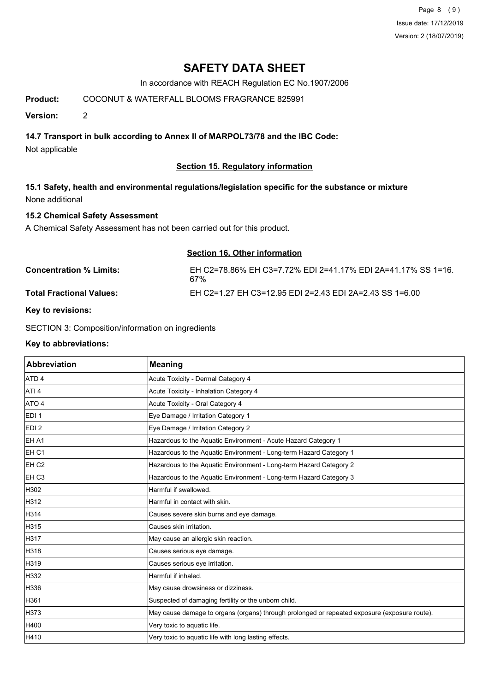Page 8 (9) Issue date: 17/12/2019 Version: 2 (18/07/2019)

# **SAFETY DATA SHEET**

In accordance with REACH Regulation EC No.1907/2006

## **Product:** COCONUT & WATERFALL BLOOMS FRAGRANCE 825991

**Version:** 2

### **14.7 Transport in bulk according to Annex II of MARPOL73/78 and the IBC Code:**

Not applicable

### **Section 15. Regulatory information**

**15.1 Safety, health and environmental regulations/legislation specific for the substance or mixture** None additional

#### **15.2 Chemical Safety Assessment**

A Chemical Safety Assessment has not been carried out for this product.

|                                 | Section 16. Other information                                       |
|---------------------------------|---------------------------------------------------------------------|
| <b>Concentration % Limits:</b>  | EH C2=78.86% EH C3=7.72% EDI 2=41.17% EDI 2A=41.17% SS 1=16.<br>67% |
| <b>Total Fractional Values:</b> | EH C2=1.27 EH C3=12.95 EDI 2=2.43 EDI 2A=2.43 SS 1=6.00             |

#### **Key to revisions:**

SECTION 3: Composition/information on ingredients

#### **Key to abbreviations:**

| <b>Abbreviation</b> | <b>Meaning</b>                                                                               |
|---------------------|----------------------------------------------------------------------------------------------|
| ATD <sub>4</sub>    | Acute Toxicity - Dermal Category 4                                                           |
| ATI <sub>4</sub>    | Acute Toxicity - Inhalation Category 4                                                       |
| ATO 4               | Acute Toxicity - Oral Category 4                                                             |
| EDI <sub>1</sub>    | Eye Damage / Irritation Category 1                                                           |
| EDI <sub>2</sub>    | Eye Damage / Irritation Category 2                                                           |
| EH A1               | Hazardous to the Aquatic Environment - Acute Hazard Category 1                               |
| EH <sub>C1</sub>    | Hazardous to the Aquatic Environment - Long-term Hazard Category 1                           |
| EH <sub>C2</sub>    | Hazardous to the Aquatic Environment - Long-term Hazard Category 2                           |
| EH <sub>C3</sub>    | Hazardous to the Aquatic Environment - Long-term Hazard Category 3                           |
| H302                | Harmful if swallowed.                                                                        |
| H312                | Harmful in contact with skin.                                                                |
| H314                | Causes severe skin burns and eye damage.                                                     |
| H315                | Causes skin irritation.                                                                      |
| H317                | May cause an allergic skin reaction.                                                         |
| H318                | Causes serious eye damage.                                                                   |
| H319                | Causes serious eye irritation.                                                               |
| H332                | Harmful if inhaled.                                                                          |
| H336                | May cause drowsiness or dizziness.                                                           |
| H361                | Suspected of damaging fertility or the unborn child.                                         |
| H373                | May cause damage to organs (organs) through prolonged or repeated exposure (exposure route). |
| H400                | Very toxic to aquatic life.                                                                  |
| H410                | Very toxic to aquatic life with long lasting effects.                                        |